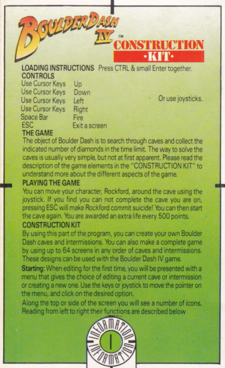**LOADING INSTRUCTIONS** Press CTRL & small Enter together. **CONTROLS** 

Use Cursor Keys  $_{\text{Un}}$ Use Cursor Keys Down Use Cursor Keys  $left$ Use Cursor Keys Right Snace Rar Fira FSC **Exit a screen** 

**LEART** 

Or use joysticks.

**ICTION** 

## THE GAME

The object of Boulder Dash is to search through caves and collect the indicated number of diamonds in the time limit. The way to solve the caves is usually very simple, but not at first apparent. Please read the description of the game elements in the "CONSTRUCTION KIT" to understand more about the different aspects of the game.

## **PLAYING THE GAME**

You can move your character. Rockford, around the cave using the joystick. If you find you can not complete the cave you are on. pressing ESC will make Rockford commit suicide! You can then start the cave again. You are awarded an extra life every 500 points.

# **CONSTRUCTION KIT**

By using this part of the program, you can create your own Boulder Dash caves and intermissions. You can also make a complete game by using up to 64 screens in any order of caves and intermissions. These designs can be used with the Boulder Dash IV game.

Starting: When editing for the first time, you will be presented with a menu that gives the choice of editing a current cave or intermission or creating a new one. Use the keys or joystick to move the pointer on the menu, and click on the desired option.

Along the top or side of the screen you will see a number of icons. Reading from left to right their functions are described below

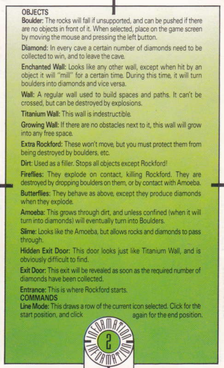# ORJECTS

Boulder: The rocks will fall if unsupported, and can be pushed if there are no objects in front of it. When selected, place on the game screen by moving the mouse and pressing the left button.

Diamond: In every cave a certain number of diamonds need to be collected to win, and to leave the cave.

Enchanted Wall: Looks like any other wall, except when hit by an object it will "mill" for a certain time. During this time, it will turn boulders into diamonds and vice versa

Wall: A regular wall used to build spaces and paths. It can't be crossed, but can be destroyed by explosions.

Titanium Wall: This wall is indestructible.

Growing Wall: If there are no obstacles next to it, this wall will grow into any free space.

Extra Rockford: These won't move, but you must protect them from being destroyed by boulders, etc.

Dirt: Used as a filler. Stops all objects except Rockford!

Fireflies: They explode on contact, killing Rockford, They are destroyed by dropping boulders on them, or by contact with Amoeba.

Butterflies: They behave as above, except they produce diamonds when they explode.

Amoeba: This grows through dirt, and unless confined (when it will turn into diamonds) will eventually turn into Boulders.

Slime: Looks like the Amoeba, but allows rocks and diamonds to pass through.

Hidden Exit Door: This door looks just like Titanium Wall, and is obviously difficult to find.

Exit Door: This exit will be revealed as soon as the required number of diamonds have been collected.

Entrance: This is where Bookford starts COMMANDS

Line Mode: This draws a row of the current icon selected. Click for the start position, and click again for the end position.

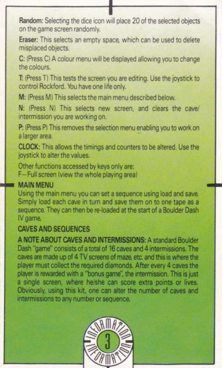Random: Selecting the dice icon will place 20 of the selected objects on the game screen randomly.

Eraser: This selects an empty space, which can be used to delete misplaced objects.

C: (Press C) A colour menu will be displayed allowing you to change the colours.

T: (Press T) This tests the screen you are editing. Use the joystick to control Rockford. You have one life only.

M: (Press M) This selects the main menu described below.

N: (Press N) This selects new screen, and clears the cave/ intermission you are working on.

P: (Press P) This removes the selection menu enabling you to work on a larger area.

CLOCK: This allows the timings and counters to be altered. Use the joystick to alter the values.

Other functions accessed by keys only are: F-Full screen (view the whole playing area)

## **MAIN MENU**

Using the main menu you can set a sequence using load and save. Simply load each cave in turn and save them on to one tape as a sequence. They can then be re-loaded at the start of a Boulder Dash IV game.

## **CAVES AND SEQUENCES**

A NOTE ABOUT CAVES AND INTERMISSIONS: A standard Boulder Dash "game" consists of a total of 16 caves and 4 intermissions. The caves are made up of 4 TV screens of maze, etc. and this is where the player must collect the required diamonds. After every 4 caves the player is rewarded with a "bonus game", the intermission. This is just a single screen, where he/she can score extra points or lives. Obviously, using this kit, one can alter the number of caves and intermissions to any number or sequence.

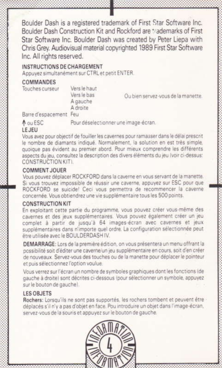Boulder Dash is a registered trademark of First Star Software Inc. Boulder Dash Construction Kit and Rockford are trademarks of First Star Software Inc. Boulder Dash was created by Peter Liepa with Chris Grey, Audiovisual material copyrighted 1989 First Star Software Inc. All rights reserved.

#### INSTRUCTIONS DE CHARGEMENT

Annuvez simultanement sur CTRL et netit FNTER.

#### COMMANDES

Touches curseur

Vers le haut Vers le bas A gauche A droite

Ou hien servez-yous de la manette.

Barre d'espacement Feu

A ou ESC

Pour déselectionner une image-écran.

### $E$

Vous avez nour objectif de fouiller les cavernes pour ramasser dans le délai prescrit le nombre de diamants indiqué. Normalement, la solution en est très simple. quoique pas évident au premier abord. Pour mieux comprendre les différents aspects du jeu, consultez la description des divers éléments du jeu (voir ci-dessus: CONSTRUCTION KIT).

### COMMENT, IOUER

Vous nouvez déplacer ROCKFORD dans la caverne en vous servant de la manette. Si yous trouvez impossible de réussir une caverne, appuyez sur ESC pour que ROCKFORD se suicide! Ceci vous permettra de recommencer la caverne concernée. Vous obtiendrez une vie supplémentaire tous les 500 points.

#### CONSTRUCTION KIT

En exploitant cette partie du programme, vous pouvez créer vous-même des cavernes et des jeux supplémentaires. Vous pouvez également créer un ieu complet à partir de jusqu'à 64 images-écran avec cavernes et jeux supplémentaires dans n'importe quel ordre. La configuration sélectionnée peut être utilisée avec le BOULDERDASHIV.

DEMARRAGE: Lors de la première édition, on vous présentera un menu offrant la possibilité soit d'éditer une caverne un jeu supplémentaire en cours, soit d'en créer de nouveaux. Servez-vous des touches ou de la manette pour déplacer le pointeur et puis sélectionnez l'option voulue.

Vous verrez sur l'écran un nombre de symboles graphiques dont les fonctions (de gauche à droite) sont décrites ci-dessous (pour sélectionner un symbole, appuyez sur le bouton de gauche).

#### **LES OBJETS**

Rochers: Lorsqu'ils ne sont pas supportés, les rochers tombent et peuvent être déniacés s'il n'y a pas d'objet en face. Pou introduire un objet dans l'image-écran. servez-vous de la souris et appuyez sur le bouton de gauche.

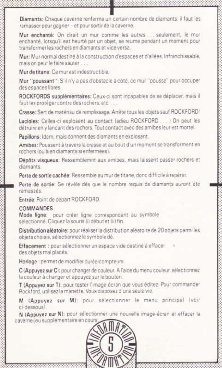Diamants: Chaque caverne renferme un certain nombre de diamants: il faut les ramasser pour gagner - et pour sortir de la caverne.

Mur enchanté: On dirait un mur comme les autres seulement, le murenchanté, lorsqu'il est heurté par un objet, se reume pendant un moment pour transformer les rochers en diamants et vice versa

Mur: Mur normal destiné à la construction d'espaces et d'allées, Infranchissable. mais on neut le faire sauter

Mur de titone: Comur est indestructible

Mur "poussant": S'il n'y a pas d'obstacle à côté, ce mur "pousse" pour occuper des espaces libres.

ROCKFORDS sunnièmentaires: Ceux-ci sont incapables de se déplacer, mais il faut les protéger contre des rochers, etc ...

Crasse: Sert de matériau de remplissage. Arrête tous les objets sauf ROCKFORD!

Lucioles: Celles-ci explosent au contact (adieu ROCKFORD . . . ) On peut les détruire en y lancant des rochers. Tout contact avec des amibes leur est mortel.

Papillons: Idem, mais donnent des diamants en explosant.

Amibes: Poussent à travers la crasse et au bout d'un moment se transforment en rochers (ou bien diamants si enfermées).

Dépôts visqueux: Ressemblemnt aux amibes, mais laissent passer rochers et diamants.

Porte de sortie cachée: Ressemble au mur de titane, donc difficile à repérer.

Porte de sortie: Se révèle dès que le nombre requis de diamants auront été ramassés

Entrée: Point de départ ROCKFORD.

#### COMMANDES

Mode ligne: pour créer ligne correspondant au symbole sélectionné. Cliquez la souris (i) début et (ii) fin.

Distribution aléatoire: pour réaliser la distribution aléatoire de 20 objets parmi les objets choisis, sélectionnez le symbole dé

Effacement : pour sélectionner un espace vide destiné à effacer des objets mal placés.

Horloge : permet de modifier durée/compteurs

C (Appuyez sur C): pour changer de couleur. A l'aide du menu couleur, sélectionnez la couleur à changer et appuyez sur le bouton.

T (Appuvez sur T): pour tester l'image écran que vous éditez. Pour commander Rockford, utilisez la manette. Vous disposez d'une seule vie.

M (Appuvez sur M): pour sélectionner le menu principal (voir ci-dessous).

N (Anouvez sur N): pour sélectionner une nouvelle image-écran et effacer la caverne/jeu supplémentaire en cour

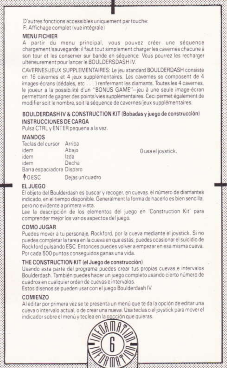D'autres fonctions accessibles uniquement par touche: F: Affichage complet (vue intégrale)

### **MENULFICHIER**

A partir du menu principal, vous pouvez créer une séquence chargement/sauvegarde: il faut tout simplement charger les cavernes chacune à son tour et les conserver sur bande en séquence. Vous pourrez les recharger ultérieurement nour lancer le BOULDERSDASHIV

CAVERNES: JEUX SUPPLEMENTAIRES: Le jeu standard BOULDERDASH consiste en 16 cavernes et 4 jeux supplémentaires. Les cavernes se composent de 4 images écrans (dédales, etc...) renfermant les diamants. Toutes les 4 cavernes. le joueur a la possibilité d'un "BONUS GAME"-jeu à une seule image-écran permettant de gagner des points/vies supplémentaires. Ceci permet également de modifier soit le nombre, soit la séquence de cavernes/jeux supplémentaires.

#### ROULDERDASH IV & CONSTRUCTION KIT (Bobadas y juego de construcción) INSTRUCCIONES DE CARGA

Pulsa CTRL y ENTER pequena a la yez.

#### MANDOS

| Teclas del cursor Arriba  |                 |
|---------------------------|-----------------|
| idem                      | Abaio           |
| idem                      | 20a             |
| idem                      | Decha           |
| Barra espaciadora Disparo |                 |
| <b>MOESC</b>              | Dejas un cuadro |

Ousa el joystick.

#### FL.IUFGO

El objeto del Boulderdash es buscar y recoper, en cuevas, el número de diamantes indicado en el tiempo disponible. Generalment la forma de hacerlo es bien sencilla. nero no evidente a nrimera vista

Lee la descripción de los elementos del juego en 'Construction Kit' para comprender mejor los varios aspectos del juego.

#### COMO JUGAR

Puedes mover a tu personaie. Rockford, por la cueva mediante el joystick. Si no nuedes completar la tarea en la cueva en que estás, puedes ocasionar el suicidio de Rockford pulsando ESC. Entonces puedes volver a empezar en esa misma cueva. Por cada 500 puntos conseguidos ganas una vida.

#### THE CONSTRUCTION KIT (el Juego de construcción)

Usando esta parte del programa puedes crear tus propias cuevas e intervalos Boulderdash, También puedes hacer un juego completo usando cierto número de cuadros en cualquier orden de cuevas e intervalos.

Estos disenos se pueden usar con el juego Boulderdash IV.

## COMIENZO

Al editar nor primera vez se te presenta un menú que te da la opción de editar una queva o intervalo actual, o de crear una nueva. Usa teclas o el joystick para mover el indicador sobre el menú y teclea en la opcción que quieras.

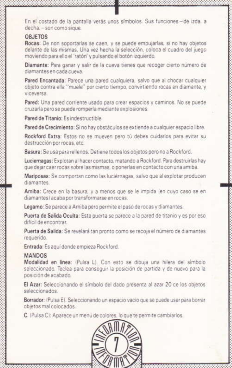En el costado de la pantalla verás unos símbolos. Sus funciones-de izda, a decha - son como sigue.

#### **ORJETOS**

Rocas: De non soportarlas se caen, y se puede empujarlas, si no hay objetos delante de las mismas. Una vez hecha la selección, coloca el cuadro del juego moviendo para ello el 'ratón' y nulsando el botón izquierdo.

Diamante: Para ganar y salir de la cueva tienes que recoger cierto número de diamontes en cada cuava

Pared Encantada: Parece una pared cualquiera, salvo que al chocar cualquier obieto contra ella "muele" por cierto tiempo, convirtiendo rocas en diamante, y vinguersa

Pared: Una pared corriente usado para crear espacios y caminos. No se puede cruzarla pero se puede romperla mediante explosiones.

Pared de Titanio: Es indestructible

Pared de Crecimiento: Si no hay obstáculos se extiende a cualquier espacio libre.

Rockford Extra: Estos no se mueven pero tú debes cuidarlos para evitar su destrucción por rocas, etc.

Basura: Se usa para rellenos. Detiene todos los objetos pero no a Rockford.

Luciernagas: Exploran al hacer contacto, matando a Rockford, Para destruirlas hay que deiar caer rocas sobre las mismas, o ponerlas en contacto con una amiba.

Mariposas: Se comportan como las luciérnagas, salvo que al explotar producen diamantes

Amiba: Crece en la basura, y a menos que se le impida (en cuyo caso se en diamantes) acaba por transformarse en rocas.

Legamo: Se parece a Amiba pero permite el paso de rocas y diamantes.

Puerta de Salida Oculta: Esta puerta se parece a la pared de titanio y es por eso difícil de encontrar

Puerta de Salida: Se revelará tan pronto como se recoja el número de diamantes ranuarido

Entrada: Es agui donde empieza Rockford

#### MANDOS

Modalidad en linea: (Pulsa L). Con esto se dibuia una hilera del símbolo seleccionado. Teclea para conseguir la posición de partida y de nuevo para la photos ab photosop

El Azar: Seleccionando el símbolo del dado presenta al azar 20 de los objetos calaccionados

Borrador: (Pulsa E). Seleccionando un espacio vacio que se puede usar para borrar objetos mal colocados

C. (Puisa C): Anarece un menú de colores, lo que te permite cambiarlos.